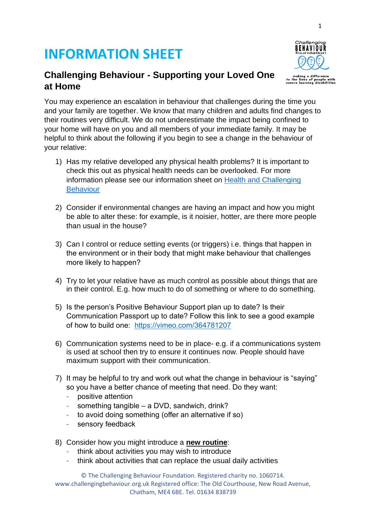## **INFORMATION SHEET**



## **Challenging Behaviour - Supporting your Loved One at Home**

You may experience an escalation in behaviour that challenges during the time you and your family are together. We know that many children and adults find changes to their routines very difficult. We do not underestimate the impact being confined to your home will have on you and all members of your immediate family. It may be helpful to think about the following if you begin to see a change in the behaviour of your relative:

- 1) Has my relative developed any physical health problems? It is important to check this out as physical health needs can be overlooked. For more information please see our information sheet on [Health and Challenging](https://www.challengingbehaviour.org.uk/health-challenging-behaviour/health-and-behaviour.html)  **[Behaviour](https://www.challengingbehaviour.org.uk/health-challenging-behaviour/health-and-behaviour.html)**
- 2) Consider if environmental changes are having an impact and how you might be able to alter these: for example, is it noisier, hotter, are there more people than usual in the house?
- 3) Can I control or reduce setting events (or triggers) i.e. things that happen in the environment or in their body that might make behaviour that challenges more likely to happen?
- 4) Try to let your relative have as much control as possible about things that are in their control. E.g. how much to do of something or where to do something.
- 5) Is the person's Positive Behaviour Support plan up to date? Is their Communication Passport up to date? Follow this link to see a good example of how to build one: <https://vimeo.com/364781207>
- 6) Communication systems need to be in place- e.g. if a communications system is used at school then try to ensure it continues now. People should have maximum support with their communication.
- 7) It may be helpful to try and work out what the change in behaviour is "saying" so you have a better chance of meeting that need. Do they want:
	- positive attention
	- something tangible a DVD, sandwich, drink?
	- to avoid doing something (offer an alternative if so)
	- sensory feedback
- 8) Consider how you might introduce a **new routine**:
	- think about activities you may wish to introduce
	- think about activities that can replace the usual daily activities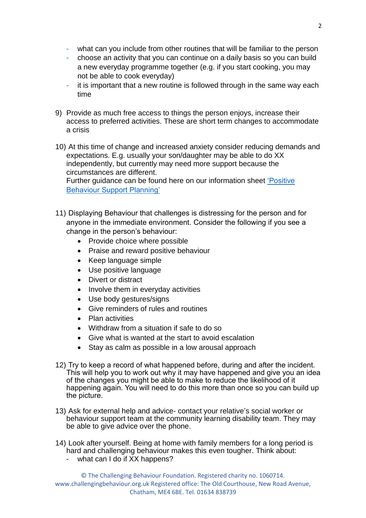- what can you include from other routines that will be familiar to the person
- choose an activity that you can continue on a daily basis so you can build a new everyday programme together (e.g. if you start cooking, you may not be able to cook everyday)
- it is important that a new routine is followed through in the same way each time
- 9) Provide as much free access to things the person enjoys, increase their access to preferred activities. These are short term changes to accommodate a crisis
- 10) At this time of change and increased anxiety consider reducing demands and expectations. E.g. usually your son/daughter may be able to do XX independently, but currently may need more support because the circumstances are different.

Further guidance can be found here on our information sheet ['Positive](https://www.challengingbehaviour.org.uk/understanding-behaviour/finding-the-reasons.html)  [Behaviour Support Planning'](https://www.challengingbehaviour.org.uk/understanding-behaviour/finding-the-reasons.html)

- 11) Displaying Behaviour that challenges is distressing for the person and for anyone in the immediate environment. Consider the following if you see a change in the person's behaviour:
	- Provide choice where possible
	- Praise and reward positive behaviour
	- Keep language simple
	- Use positive language
	- Divert or distract
	- Involve them in everyday activities
	- Use body gestures/signs
	- Give reminders of rules and routines
	- Plan activities
	- Withdraw from a situation if safe to do so
	- Give what is wanted at the start to avoid escalation
	- Stay as calm as possible in a low arousal approach
- 12) Try to keep a record of what happened before, during and after the incident. This will help you to work out why it may have happened and give you an idea of the changes you might be able to make to reduce the likelihood of it happening again. You will need to do this more than once so you can build up the picture.
- 13) Ask for external help and advice- contact your relative's social worker or behaviour support team at the community learning disability team. They may be able to give advice over the phone.
- 14) Look after yourself. Being at home with family members for a long period is hard and challenging behaviour makes this even tougher. Think about:
	- what can I do if XX happens?